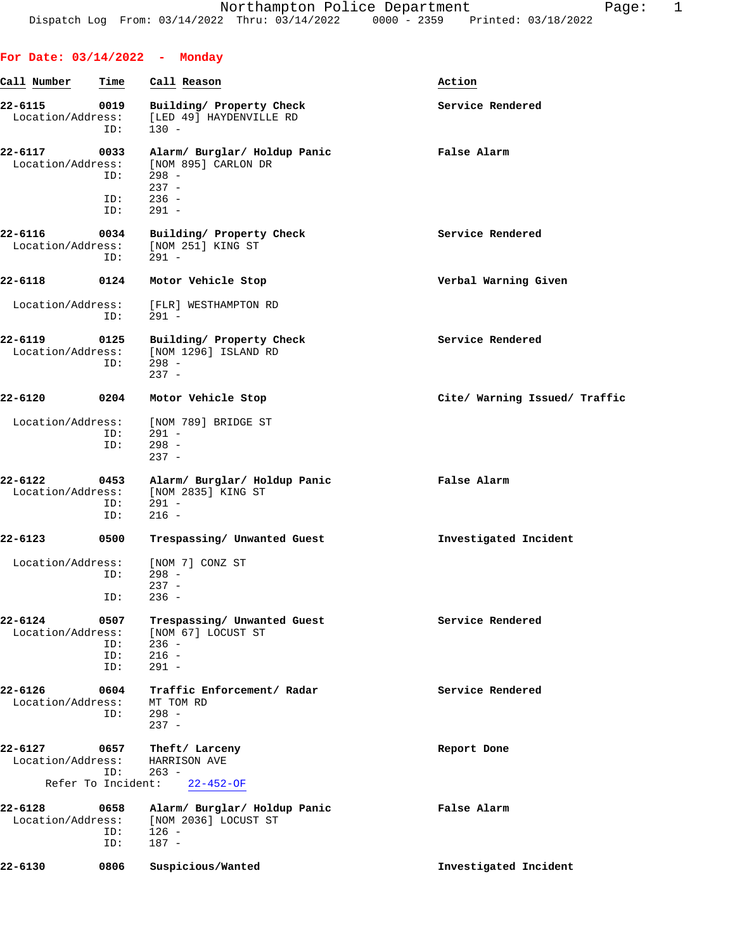**For Date: 03/14/2022 - Monday**

| Call Number                      | Time                      | Call Reason                                                                                     | Action                        |
|----------------------------------|---------------------------|-------------------------------------------------------------------------------------------------|-------------------------------|
| 22-6115<br>Location/Address:     | 0019<br>ID:               | Building/ Property Check<br>[LED 49] HAYDENVILLE RD<br>$130 -$                                  | Service Rendered              |
| 22-6117<br>Location/Address:     | 0033<br>ID:<br>ID:<br>ID: | Alarm/ Burglar/ Holdup Panic<br>[NOM 895] CARLON DR<br>$298 -$<br>$237 -$<br>$236 -$<br>$291 -$ | False Alarm                   |
| 22-6116<br>Location/Address:     | 0034<br>ID:               | Building/ Property Check<br>[NOM 251] KING ST<br>$291 -$                                        | Service Rendered              |
| 22-6118                          | 0124                      | Motor Vehicle Stop                                                                              | Verbal Warning Given          |
| Location/Address:                | ID:                       | [FLR] WESTHAMPTON RD<br>$291 -$                                                                 |                               |
| 22-6119<br>Location/Address:     | 0125<br>ID:               | Building/ Property Check<br>[NOM 1296] ISLAND RD<br>$298 -$<br>$237 -$                          | Service Rendered              |
| 22-6120                          | 0204                      | Motor Vehicle Stop                                                                              | Cite/ Warning Issued/ Traffic |
| Location/Address:                | ID:<br>ID:                | [NOM 789] BRIDGE ST<br>$291 -$<br>$298 -$<br>$237 -$                                            |                               |
| 22-6122<br>Location/Address:     | 0453<br>ID:<br>ID:        | Alarm/ Burglar/ Holdup Panic<br>[NOM 2835] KING ST<br>291 -<br>$216 -$                          | False Alarm                   |
| 22-6123                          | 0500                      | Trespassing/ Unwanted Guest                                                                     | Investigated Incident         |
| Location/Address:                | ID:<br>ID:                | [NOM 7] CONZ ST<br>$298 -$<br>$237 -$<br>$236 -$                                                |                               |
| $22 - 6124$<br>Location/Address: | 0507<br>ID:<br>ID:<br>ID: | Trespassing/ Unwanted Guest<br>[NOM 67] LOCUST ST<br>$236 -$<br>$216 -$<br>$291 -$              | Service Rendered              |
| $22 - 6126$<br>Location/Address: | 0604<br>ID:               | Traffic Enforcement/ Radar<br>MT TOM RD<br>$298 -$<br>$237 -$                                   | Service Rendered              |
| 22-6127<br>Location/Address:     | 0657<br>ID:               | Theft/ Larceny<br>HARRISON AVE<br>$263 -$                                                       | Report Done                   |
| Refer To Incident:               |                           | $22 - 452 - OF$                                                                                 |                               |
| 22-6128<br>Location/Address:     | 0658<br>ID:<br>ID:        | Alarm/ Burglar/ Holdup Panic<br>[NOM 2036] LOCUST ST<br>$126 -$<br>$187 -$                      | False Alarm                   |
| 22-6130                          | 0806                      | Suspicious/Wanted                                                                               | Investigated Incident         |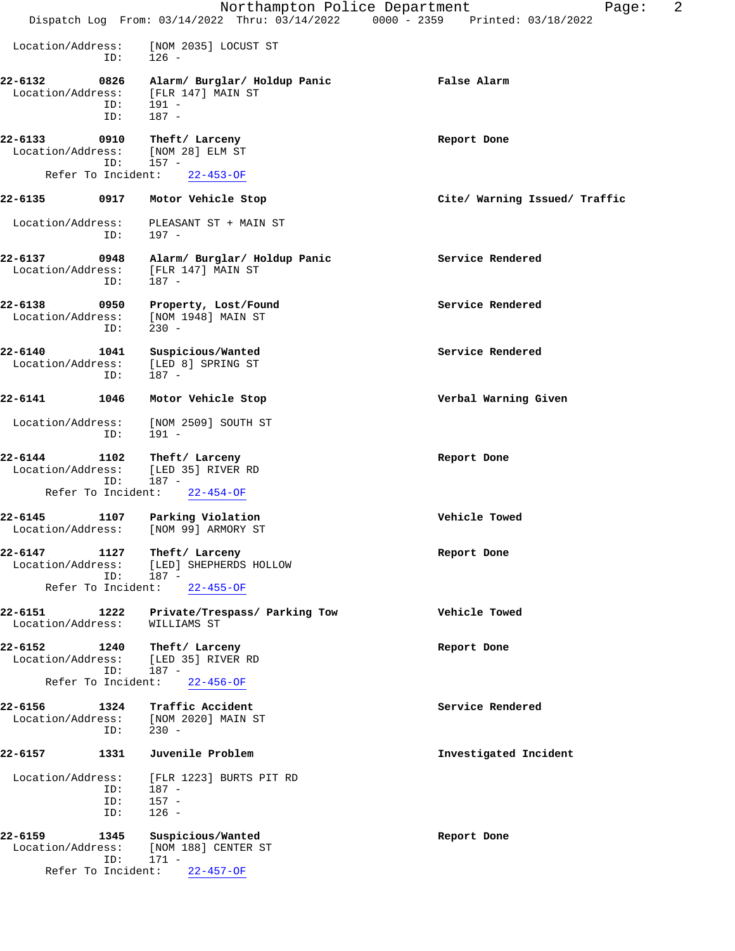|                                                    |                    | Northampton Police Department                                          | 2<br>Page:<br>Dispatch Log From: 03/14/2022 Thru: 03/14/2022 0000 - 2359 Printed: 03/18/2022 |
|----------------------------------------------------|--------------------|------------------------------------------------------------------------|----------------------------------------------------------------------------------------------|
| Location/Address:                                  | ID:                | [NOM 2035] LOCUST ST<br>$126 -$                                        |                                                                                              |
| 22-6132<br>Location/Address:                       | 0826<br>ID:<br>ID: | Alarm/ Burglar/ Holdup Panic<br>[FLR 147] MAIN ST<br>191 -<br>$187 -$  | False Alarm                                                                                  |
| 22-6133<br>Location/Address:                       | 0910<br>ID:        | Theft/ Larceny<br>[NOM 28] ELM ST<br>$157 -$                           | Report Done                                                                                  |
| Refer To Incident:                                 |                    | $22 - 453 - OF$                                                        |                                                                                              |
| 22-6135                                            | 0917               | Motor Vehicle Stop                                                     | Cite/ Warning Issued/ Traffic                                                                |
| Location/Address:                                  | ID:                | PLEASANT ST + MAIN ST<br>197 -                                         |                                                                                              |
| 22-6137<br>Location/Address:                       | 0948<br>ID:        | Alarm/ Burglar/ Holdup Panic<br>[FLR 147] MAIN ST<br>$187 -$           | Service Rendered                                                                             |
| 22-6138<br>Location/Address:                       | 0950<br>ID:        | Property, Lost/Found<br>[NOM 1948] MAIN ST<br>$230 -$                  | Service Rendered                                                                             |
| 22-6140<br>Location/Address:                       | 1041<br>ID:        | Suspicious/Wanted<br>[LED 8] SPRING ST<br>187 -                        | Service Rendered                                                                             |
| 22-6141                                            | 1046               | Motor Vehicle Stop                                                     | Verbal Warning Given                                                                         |
| Location/Address:                                  | ID:                | [NOM 2509] SOUTH ST<br>$191 -$                                         |                                                                                              |
| 22-6144<br>Location/Address:                       | 1102<br>ID:        | Theft/ Larceny<br>[LED 35] RIVER RD<br>$187 -$                         | Report Done                                                                                  |
| Refer To Incident:                                 |                    | $22 - 454 - OF$                                                        |                                                                                              |
| $22 - 6145$<br>Location/Address:                   | 1107               | Parking Violation<br>[NOM 99] ARMORY ST                                | Vehicle Towed                                                                                |
| 22-6147<br>Location/Address:<br>Refer To Incident: | 1127<br>ID:        | Theft/ Larceny<br>[LED] SHEPHERDS HOLLOW<br>$187 -$<br>$22 - 455 - OF$ | Report Done                                                                                  |
|                                                    |                    |                                                                        |                                                                                              |
| 22-6151<br>Location/Address:                       | 1222               | Private/Trespass/ Parking Tow<br>WILLIAMS ST                           | Vehicle Towed                                                                                |
| 22-6152<br>Location/Address:                       | 1240<br>ID:        | Theft/ Larceny<br>[LED 35] RIVER RD<br>$187 -$                         | Report Done                                                                                  |
| Refer To Incident:                                 |                    | $22 - 456 - OF$                                                        |                                                                                              |
| 22-6156<br>Location/Address:                       | 1324<br>ID:        | Traffic Accident<br>[NOM 2020] MAIN ST<br>$230 -$                      | Service Rendered                                                                             |
| 22-6157                                            | 1331               | Juvenile Problem                                                       | Investigated Incident                                                                        |
| Location/Address:                                  | ID:<br>ID:         | [FLR 1223] BURTS PIT RD<br>187 -<br>$157 -$                            |                                                                                              |
|                                                    | ID:                | $126 -$                                                                |                                                                                              |
| 22-6159<br>Location/Address:                       | 1345<br>ID:        | Suspicious/Wanted<br>[NOM 188] CENTER ST<br>$171 -$                    | Report Done                                                                                  |
| Refer To Incident:                                 |                    | $22 - 457 - OF$                                                        |                                                                                              |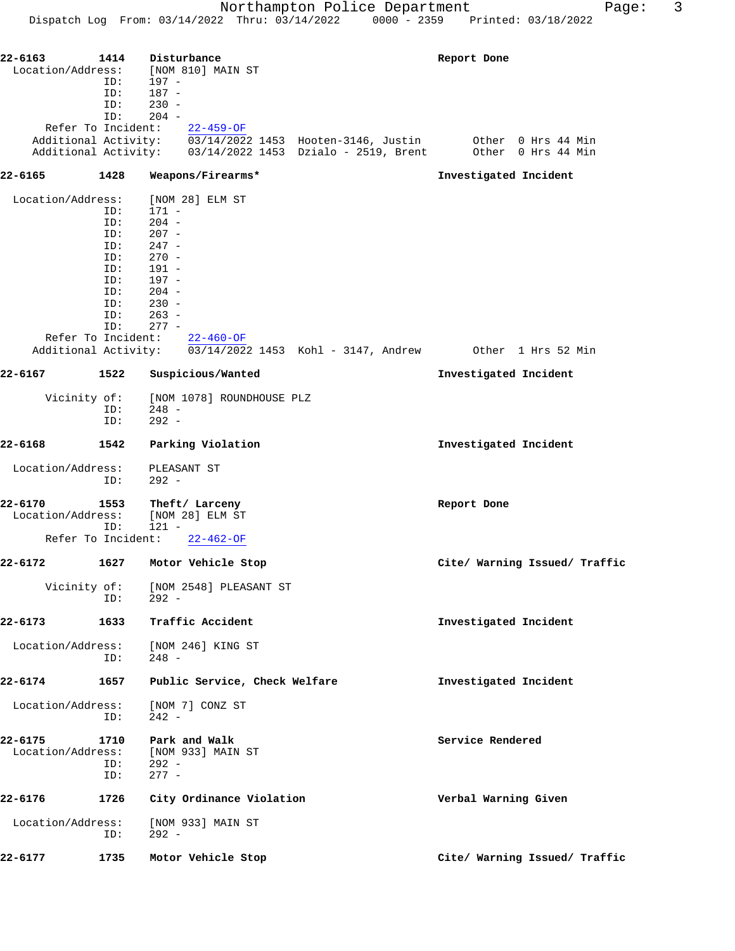| 22-6163            | 1414 | Disturbance                   | Report Done                                                                                                                                                                |
|--------------------|------|-------------------------------|----------------------------------------------------------------------------------------------------------------------------------------------------------------------------|
| Location/Address:  |      | [NOM 810] MAIN ST             |                                                                                                                                                                            |
|                    | ID:  | 197 -                         |                                                                                                                                                                            |
|                    | ID:  | $187 -$                       |                                                                                                                                                                            |
|                    | ID:  | $230 -$                       |                                                                                                                                                                            |
|                    | ID:  | $204 -$                       |                                                                                                                                                                            |
|                    |      | Refer To Incident: 22-459-OF  |                                                                                                                                                                            |
|                    |      |                               | Additional Activity: $\overline{03/14/2022}$ 1453 Hooten-3146, Justin Other 0 Hrs 44 Min<br>Additional Activity: $03/14/2022$ 1453 Dzialo - 2519, Brent Other 0 Hrs 44 Min |
|                    |      |                               |                                                                                                                                                                            |
| 22-6165            | 1428 | Weapons/Firearms*             | Investigated Incident                                                                                                                                                      |
|                    |      |                               |                                                                                                                                                                            |
| Location/Address:  |      | [NOM 28] ELM ST               |                                                                                                                                                                            |
|                    | ID:  | 171 -                         |                                                                                                                                                                            |
|                    | ID:  | $204 -$                       |                                                                                                                                                                            |
|                    | ID:  | $207 -$                       |                                                                                                                                                                            |
|                    | ID:  | 247 -                         |                                                                                                                                                                            |
|                    | ID:  | $270 -$                       |                                                                                                                                                                            |
|                    | ID:  | 191 -                         |                                                                                                                                                                            |
|                    | ID:  | 197 -                         |                                                                                                                                                                            |
|                    | ID:  | $204 -$                       |                                                                                                                                                                            |
|                    | ID:  | $230 -$                       |                                                                                                                                                                            |
|                    | ID:  | $263 -$                       |                                                                                                                                                                            |
|                    | ID:  | $277 -$                       |                                                                                                                                                                            |
|                    |      | Refer To Incident: 22-460-OF  |                                                                                                                                                                            |
|                    |      |                               | Additional Activity: 03/14/2022 1453 Kohl - 3147, Andrew 0ther 1 Hrs 52 Min                                                                                                |
|                    |      |                               |                                                                                                                                                                            |
| 22-6167            | 1522 | Suspicious/Wanted             | Investigated Incident                                                                                                                                                      |
| Vicinity of:       |      | [NOM 1078] ROUNDHOUSE PLZ     |                                                                                                                                                                            |
|                    | ID:  | $248 -$                       |                                                                                                                                                                            |
|                    | ID:  | $292 -$                       |                                                                                                                                                                            |
|                    |      |                               |                                                                                                                                                                            |
| 22-6168            | 1542 | Parking Violation             | Investigated Incident                                                                                                                                                      |
| Location/Address:  |      | PLEASANT ST                   |                                                                                                                                                                            |
|                    | ID:  | $292 -$                       |                                                                                                                                                                            |
|                    |      |                               |                                                                                                                                                                            |
| 22-6170            | 1553 | Theft/ Larceny                | Report Done                                                                                                                                                                |
| Location/Address:  |      | [NOM 28] ELM ST               |                                                                                                                                                                            |
|                    | ID:  | $121 -$                       |                                                                                                                                                                            |
| Refer To Incident: |      | $22 - 462 - 0F$               |                                                                                                                                                                            |
| 22-6172            | 1627 | Motor Vehicle Stop            | Cite/ Warning Issued/ Traffic                                                                                                                                              |
|                    |      |                               |                                                                                                                                                                            |
| Vicinity of:       |      | [NOM 2548] PLEASANT ST        |                                                                                                                                                                            |
|                    | ID:  | $292 -$                       |                                                                                                                                                                            |
| 22-6173            | 1633 | Traffic Accident              | Investigated Incident                                                                                                                                                      |
|                    |      |                               |                                                                                                                                                                            |
| Location/Address:  |      | [NOM 246] KING ST             |                                                                                                                                                                            |
|                    | ID:  | $248 -$                       |                                                                                                                                                                            |
|                    |      |                               |                                                                                                                                                                            |
| 22-6174            | 1657 | Public Service, Check Welfare | Investigated Incident                                                                                                                                                      |
|                    |      |                               |                                                                                                                                                                            |
| Location/Address:  |      | [NOM 7] CONZ ST               |                                                                                                                                                                            |
|                    | ID:  | $242 -$                       |                                                                                                                                                                            |
|                    |      |                               |                                                                                                                                                                            |
| 22-6175            | 1710 | Park and Walk                 | Service Rendered                                                                                                                                                           |
| Location/Address:  |      | [NOM 933] MAIN ST             |                                                                                                                                                                            |
|                    | ID:  | $292 -$                       |                                                                                                                                                                            |
|                    | ID:  | $277 -$                       |                                                                                                                                                                            |
| 22-6176            | 1726 |                               | Verbal Warning Given                                                                                                                                                       |
|                    |      | City Ordinance Violation      |                                                                                                                                                                            |
| Location/Address:  |      | [NOM 933] MAIN ST             |                                                                                                                                                                            |
|                    | ID:  | $292 -$                       |                                                                                                                                                                            |
|                    |      |                               |                                                                                                                                                                            |
| 22-6177            | 1735 | Motor Vehicle Stop            | Cite/ Warning Issued/ Traffic                                                                                                                                              |
|                    |      |                               |                                                                                                                                                                            |